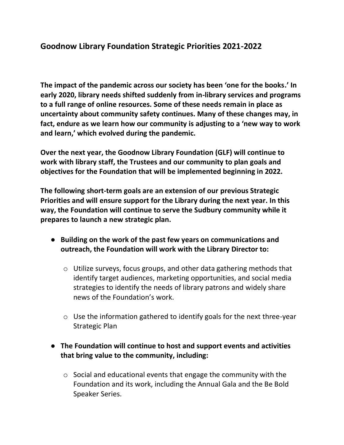## **Goodnow Library Foundation Strategic Priorities 2021-2022**

**The impact of the pandemic across our society has been 'one for the books.' In early 2020, library needs shifted suddenly from in-library services and programs to a full range of online resources. Some of these needs remain in place as uncertainty about community safety continues. Many of these changes may, in fact, endure as we learn how our community is adjusting to a 'new way to work and learn,' which evolved during the pandemic.** 

**Over the next year, the Goodnow Library Foundation (GLF) will continue to work with library staff, the Trustees and our community to plan goals and objectives for the Foundation that will be implemented beginning in 2022.** 

**The following short-term goals are an extension of our previous Strategic Priorities and will ensure support for the Library during the next year. In this way, the Foundation will continue to serve the Sudbury community while it prepares to launch a new strategic plan.** 

- **Building on the work of the past few years on communications and outreach, the Foundation will work with the Library Director to:**
	- o Utilize surveys, focus groups, and other data gathering methods that identify target audiences, marketing opportunities, and social media strategies to identify the needs of library patrons and widely share news of the Foundation's work.
	- o Use the information gathered to identify goals for the next three-year Strategic Plan
- **The Foundation will continue to host and support events and activities that bring value to the community, including:**
	- o Social and educational events that engage the community with the Foundation and its work, including the Annual Gala and the Be Bold Speaker Series.